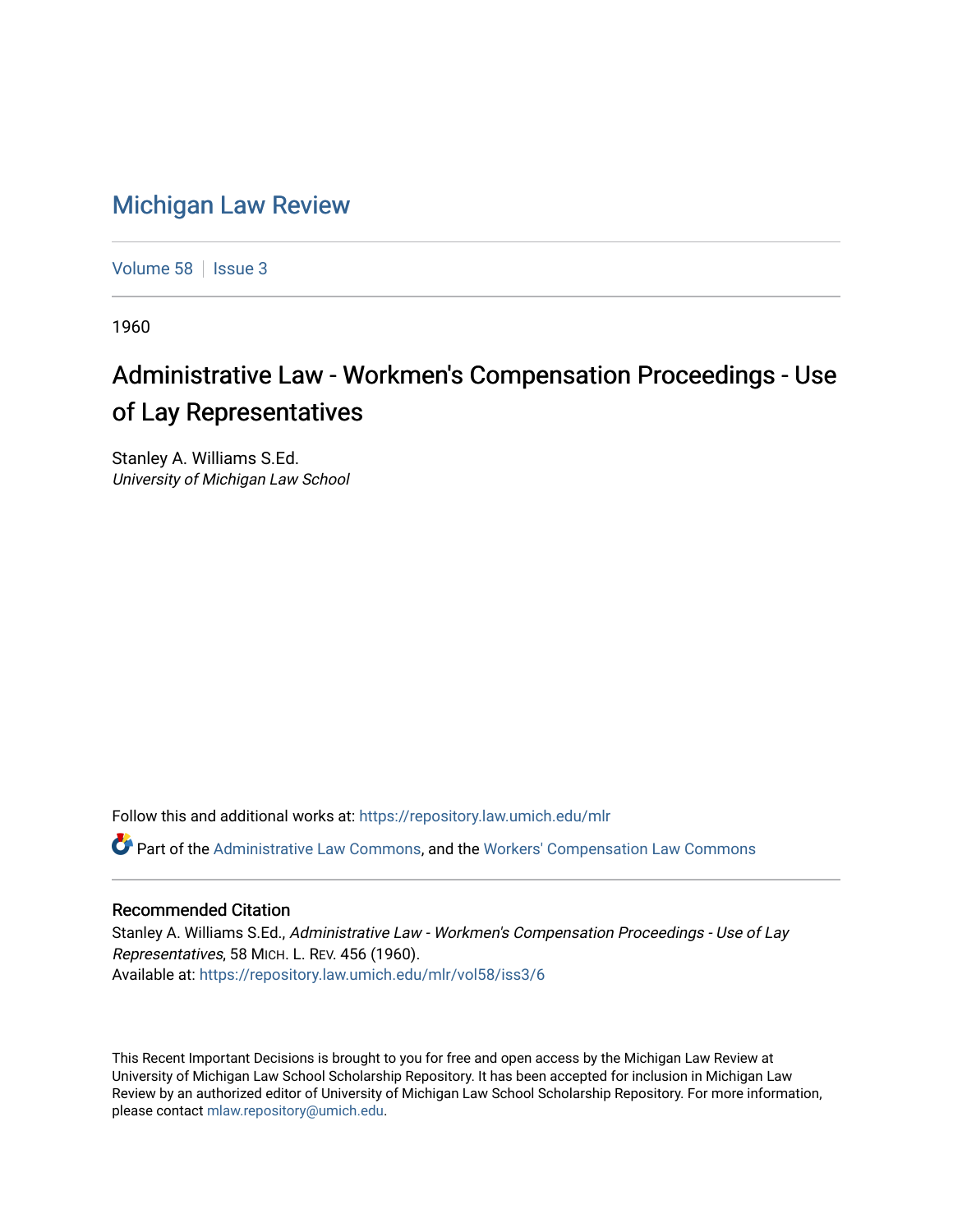## [Michigan Law Review](https://repository.law.umich.edu/mlr)

[Volume 58](https://repository.law.umich.edu/mlr/vol58) | [Issue 3](https://repository.law.umich.edu/mlr/vol58/iss3)

1960

## Administrative Law - Workmen's Compensation Proceedings - Use of Lay Representatives

Stanley A. Williams S.Ed. University of Michigan Law School

Follow this and additional works at: [https://repository.law.umich.edu/mlr](https://repository.law.umich.edu/mlr?utm_source=repository.law.umich.edu%2Fmlr%2Fvol58%2Fiss3%2F6&utm_medium=PDF&utm_campaign=PDFCoverPages) 

Part of the [Administrative Law Commons,](http://network.bepress.com/hgg/discipline/579?utm_source=repository.law.umich.edu%2Fmlr%2Fvol58%2Fiss3%2F6&utm_medium=PDF&utm_campaign=PDFCoverPages) and the [Workers' Compensation Law Commons](http://network.bepress.com/hgg/discipline/889?utm_source=repository.law.umich.edu%2Fmlr%2Fvol58%2Fiss3%2F6&utm_medium=PDF&utm_campaign=PDFCoverPages) 

## Recommended Citation

Stanley A. Williams S.Ed., Administrative Law - Workmen's Compensation Proceedings - Use of Lay Representatives, 58 MICH. L. REV. 456 (1960). Available at: [https://repository.law.umich.edu/mlr/vol58/iss3/6](https://repository.law.umich.edu/mlr/vol58/iss3/6?utm_source=repository.law.umich.edu%2Fmlr%2Fvol58%2Fiss3%2F6&utm_medium=PDF&utm_campaign=PDFCoverPages)

This Recent Important Decisions is brought to you for free and open access by the Michigan Law Review at University of Michigan Law School Scholarship Repository. It has been accepted for inclusion in Michigan Law Review by an authorized editor of University of Michigan Law School Scholarship Repository. For more information, please contact [mlaw.repository@umich.edu.](mailto:mlaw.repository@umich.edu)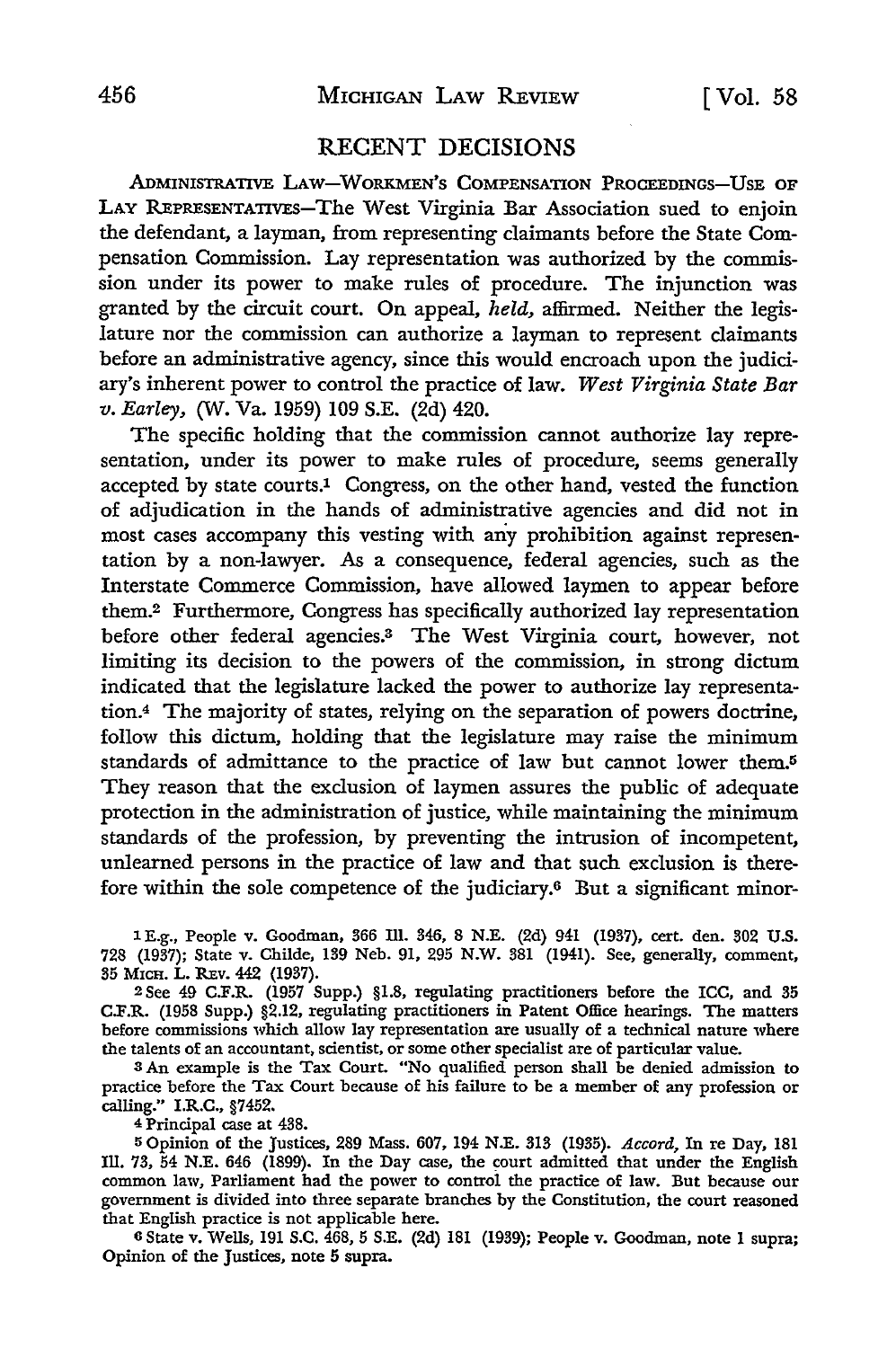## **RECENT** DECISIONS

ADMINISTRATIVE LAw-WoRKMEN'S COMPENSATION PROCEEDINGS-USE OF **LAY** REPRESENTATIVEs-The West Virginia Bar Association sued to enjoin the defendant, a layman, from representing claimants before the State Compensation Commission. Lay representation was authorized by the commission under its power to make rules of procedure. The injunction was granted by the circuit court. On appeal, *held,* affirmed. Neither the legislature nor the commission can authorize a layman to represent claimants before an administrative agency, since this would encroach upon the judiciary's inherent power to control the practice of law. *West Virginia State Bar v. Earley,* (W. Va. 1959) 109 **S.E.** (2d) 420.

The specific holding that the commission cannot authorize lay representation, under its power to make rules of procedure, seems generally accepted by state courts.<sup>1</sup> Congress, on the other hand, vested the function of adjudication in the hands of administrative agencies and did not in most cases accompany this vesting with any prohibition against representation by a non-lawyer. As a consequence, federal agencies, such as the Interstate Commerce Commission, have allowed laymen to appear before them.2 Furthermore, Congress has specifically authorized lay representation before other federal agencies.<sup>3</sup> The West Virginia court, however, not limiting its decision to the powers of the commission, in strong dictum indicated that the legislature lacked the power to authorize lay representation.4 The majority of states, relying on the separation of powers doctrine, follow this dictum, holding that the legislature may raise the minimum standards of admittance to the practice of law but cannot lower them. They reason that the exclusion of laymen assures the public of adequate protection in the administration of justice, while maintaining the minimum standards of the profession, by preventing the intrusion of incompetent, unlearned persons in the practice of law and that such exclusion is therefore within the sole competence of the judiciary.6 But a significant minor-

**3 E.g.,** People v. Goodman, **366** Ill. 346, **8 N.E.** (2d) 941 **(1937),** cert. den. 802 **U.S.** 728 (1937); State v. Childe, **139** Neb. 91, 295 N.W. **381** (1941). See, generally, comment, 35 MICH. L. REV. 442 (1937).

2See 49 C.F.R. (1957 Supp.) §1.8, regulating practitioners before the ICC, and **35** C.F.R. **(1958** Supp.) §2.12, regulating practitioners in Patent Office hearings. The matters before commissions which allow lay representation are usually of a technical nature where the talents of an accountant, scientist, or some other specialist are of particular value.

3 An example is the Tax Court. "No qualified person shall be denied admission to practice before the Tax Court because of his failure to be a member of any profession or calling." I.R.C., §7452.

4 Principal case at 438.

**5** Opinion of the Justices, 289 Mass. 607, 194 N.E. **313** (1935). *Accord,* In re Day, 181 **Ill. 73,** 54 N.E. 646 (1899). In the Day case, the court admitted that under the English common law, Parliament had the power to control the practice of law. But because our government is divided into three separate branches by the Constitution, the court reasoned that English practice is not applicable here.

**6** State v. Wells, 191 S.C. 468, **5** S.E. (2d) 181 (1939); People v. Goodman, note 1 supra; Opinion of the Justices, note **5** supra.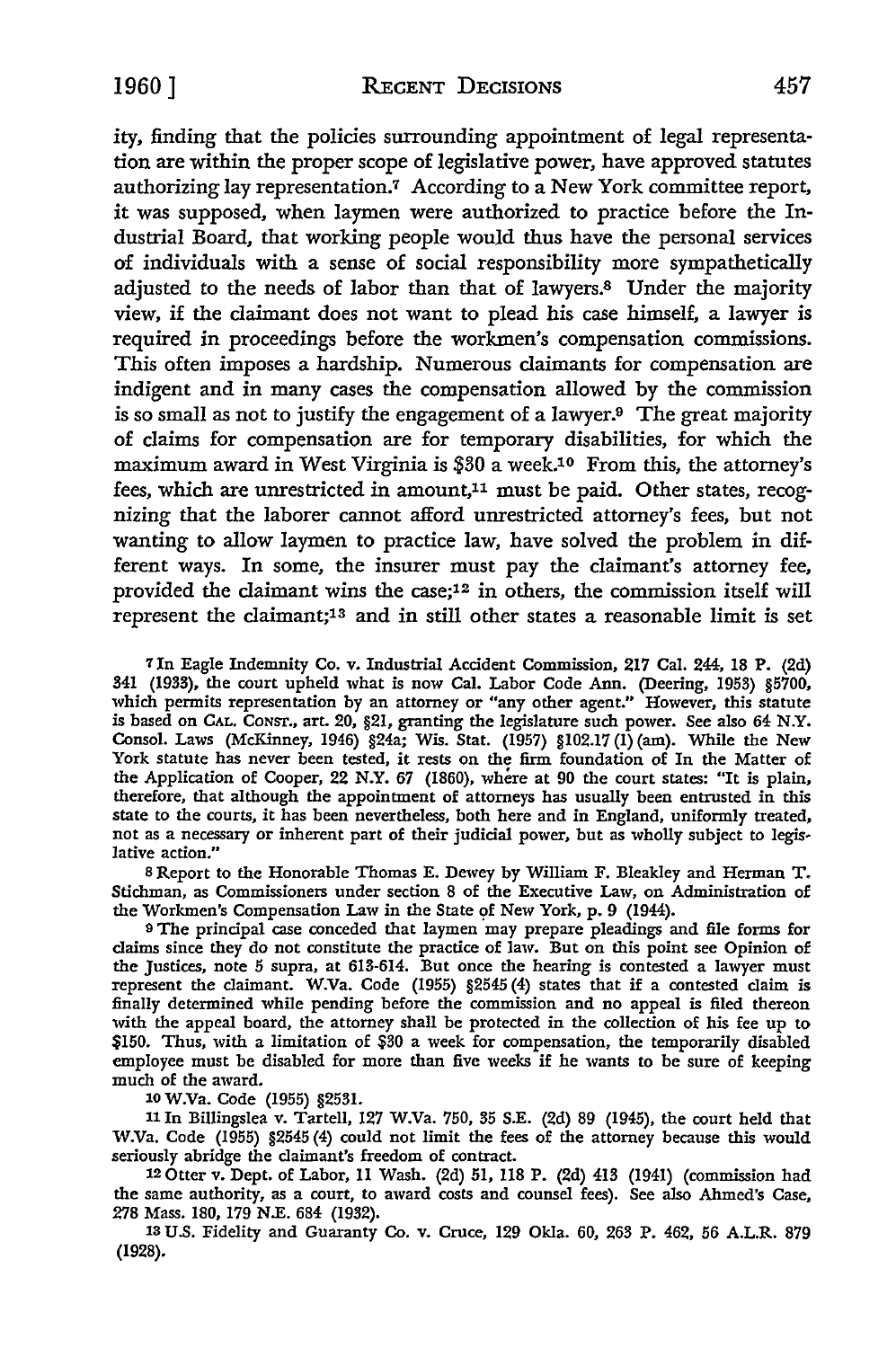ity, finding that the policies surrounding appointment of legal representation are within the proper scope of legislative power, have approved statutes authorizing lay representation.<sup>7</sup> According to a New York committee report, it was supposed, when laymen were authorized to practice before the Industrial Board, that working people would thus have the personal services of individuals with a sense of social responsibility more sympathetically adjusted to the needs of labor than that of lawyers.8 Under the majority view, if the claimant does not want to plead his case himself, a lawyer is required in proceedings before the workmen's compensation commissions. This often imposes a hardship. Numerous claimants for compensation are indigent and in many cases the compensation allowed by the commission is so small as not to justify the engagement of a lawyer. $9$  The great majority of claims for compensation are for temporary disabilities, for which the maximum award in West Virginia is \$30 a week.<sup>10</sup> From this, the attorney's fees, which are unrestricted in amount,<sup>11</sup> must be paid. Other states, recognizing that the laborer cannot afford unrestricted attorney's fees, but not wanting to allow laymen to practice law, have solved the problem in different ways. In some, the insurer must pay the claimant's attorney fee, provided the claimant wins the case;12 in others, the commission itself will represent the claimant;<sup>13</sup> and in still other states a reasonable limit is set

*7* In Eagle Indemnity Co. v. Industrial Accident Commission, **217** Cal. 244, **18** P. (2d) 341 **(1933),** the court upheld what is now Cal. Labor Code Ann. (Deering, 1953) §5700, which permits representation **by** an attorney or "any other agent." However, this statute is based on **CAL.** CONSr., art. 20, §21, granting the legislature such power. See also 64 N.Y. Consol. Laws (McKinney, 1946) §24a; Wis. Stat. (1957) §102.17 (1) (am). While the New York statute has never been tested, it rests on the firm foundation of In the Matter of the Application of Cooper, 22 N.Y. 67 (1860), where at 90 the court states: "It is plain, therefore, that although the appointment of attorneys has usually been entrusted in this state to the courts, it has been nevertheless, both here and in England, uniformly treated, not as a necessary or inherent part of their judicial power, but as wholly subject to legislative action."

**<sup>8</sup>**Report to the Honorable Thomas E. Dewey **by** William F. Bleakley and Herman T. Stichman, as Commissioners under section 8 of the Executive Law, on Administration of the Workmen's Compensation Law in the State **of** New York, p. **9** (1944).

**<sup>9</sup>**The principal case conceded that laymen may prepare pleadings and file forms for claims since they do not constitute the practice of law. But on this point see Opinion of the Justices, note 5 supra, at 613-614. But once the hearing is contested a lawyer must represent the claimant. W.Va. Code (1955) §2545 (4) states that **if** a contested claim is finally determined while pending before the commission and no appeal is filed thereon with the appeal board, the attorney shall be protected in the collection of his fee up to \$150. Thus, with a limitation of \$30 a week for compensation, the temporarily disabled employee must be disabled for more than five weeks if he wants to be sure of keeping much of the award.

**10** W.Va. Code (1955) **§2531.**

**<sup>11</sup>**In Billingslea v. Tartell, **127** W.Va. 750, 35 **S.E.** (2d) 89 (1945), the court held that W.Va. Code (1955) §2545 (4) could not limit the fees of the attorney because this would seriously abridge the claimant's freedom of contract. 12 Otter v. Dept. of Labor, **11** Wash. (2d) **51, 118** P. (2d) 413 (1941) (commission had

the same authority, as a court, to award costs and counsel fees). See also Ahmed's Case, 278 Mass. **180, 179 N.E.** 684 (1932).

*13* **US.** Fidelity and Guaranty Co. v. Cruce, 129 Okla. **60, 263** P. 462, **56** A.L.R. **879 (1928).**